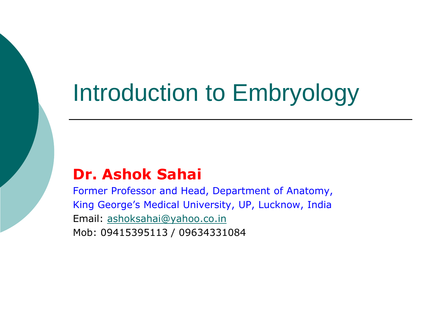# Introduction to Embryology

### **Dr. Ashok Sahai**

Former Professor and Head, Department of Anatomy, King George's Medical University, UP, Lucknow, India Email: [ashoksahai@yahoo.co.in](mailto:ashoksahai@yahoo.co.in) Mob: 09415395113 / 09634331084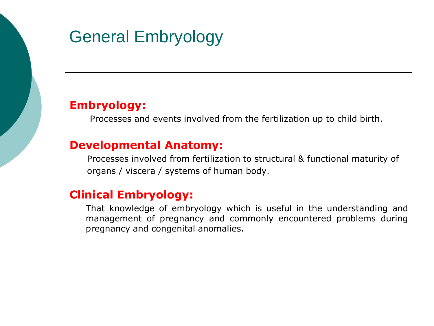# General Embryology

#### **Embryology:**

Processes and events involved from the fertilization up to child birth.

#### **Developmental Anatomy:**

Processes involved from fertilization to structural & functional maturity of organs / viscera / systems of human body.

#### **Clinical Embryology:**

That knowledge of embryology which is useful in the understanding and management of pregnancy and commonly encountered problems during pregnancy and congenital anomalies.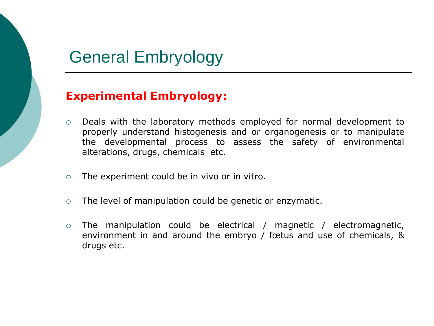## General Embryology

#### **Experimental Embryology:**

- Deals with the laboratory methods employed for normal development to properly understand histogenesis and or organogenesis or to manipulate the developmental process to assess the safety of environmental alterations, drugs, chemicals etc.
- $\circ$  The experiment could be in vivo or in vitro.
- The level of manipulation could be genetic or enzymatic.
- The manipulation could be electrical / magnetic / electromagnetic, environment in and around the embryo / fœtus and use of chemicals, & drugs etc.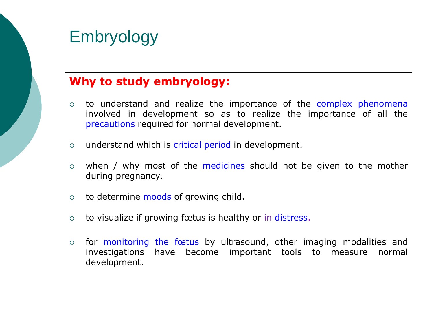#### **Why to study embryology:**

- $\circ$  to understand and realize the importance of the complex phenomena involved in development so as to realize the importance of all the precautions required for normal development.
- o understand which is critical period in development.
- $\circ$  when / why most of the medicines should not be given to the mother during pregnancy.
- $\circ$  to determine moods of growing child.
- to visualize if growing fœtus is healthy or in distress.
- $\circ$  for monitoring the fostus by ultrasound, other imaging modalities and investigations have become important tools to measure normal development.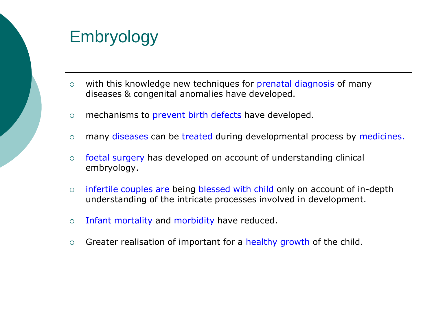- $\circ$  with this knowledge new techniques for prenatal diagnosis of many diseases & congenital anomalies have developed.
- o mechanisms to prevent birth defects have developed.
- o many diseases can be treated during developmental process by medicines.
- foetal surgery has developed on account of understanding clinical embryology.
- infertile couples are being blessed with child only on account of in-depth understanding of the intricate processes involved in development.
- $\circ$  Infant mortality and morbidity have reduced.
- $\circ$  Greater realisation of important for a healthy growth of the child.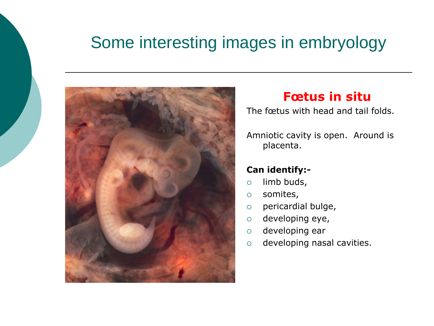# Some interesting images in embryology



### **Fœtus in situ**

The fœtus with head and tail folds.

Amniotic cavity is open. Around is placenta.

#### **Can identify:-**

- $\circ$  limb buds,
- somites,
- pericardial bulge,
- $\circ$  developing eye,
- developing ear
- developing nasal cavities.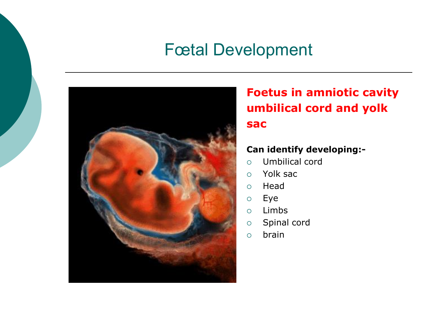## Fœtal Development



### **Foetus in amniotic cavity umbilical cord and yolk sac**

#### **Can identify developing:-**

- Umbilical cord
- Yolk sac
- Head
- Eye
- Limbs
- o Spinal cord
- $\circ$  brain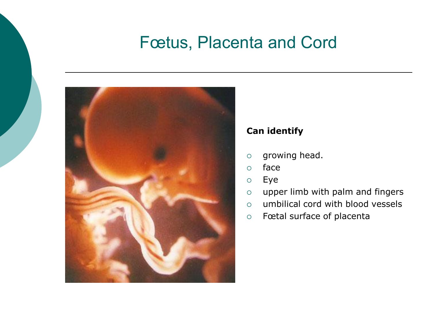## Fœtus, Placenta and Cord



#### **Can identify**

- $\circ$  growing head.
- face
- Eye
- upper limb with palm and fingers
- $\circ$  umbilical cord with blood vessels
- Fœtal surface of placenta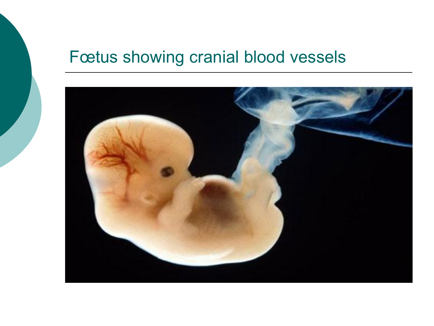## Fœtus showing cranial blood vessels

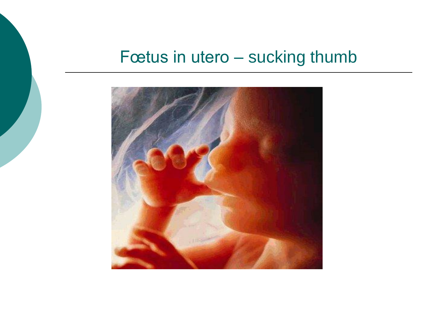## Fœtus in utero – sucking thumb

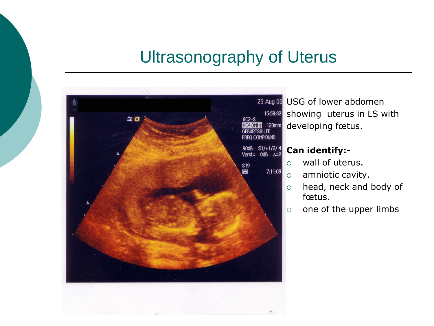## Ultrasonography of Uterus



25 Aug 06 USG of lower abdomen showing uterus in LS with developing fœtus.

#### **Can identify:-**

- wall of uterus.
- $\circ$  amniotic cavity.
- o head, neck and body of fœtus.
- $\circ$  one of the upper limbs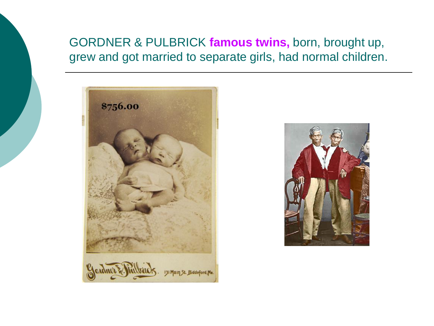### GORDNER & PULBRICK **famous twins,** born, brought up, grew and got married to separate girls, had normal children.



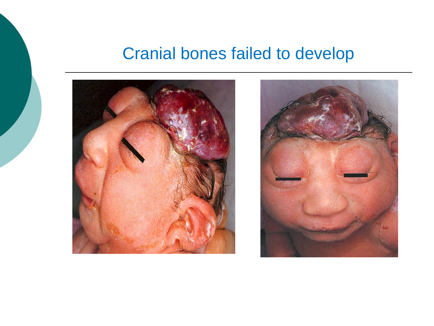## Cranial bones failed to develop



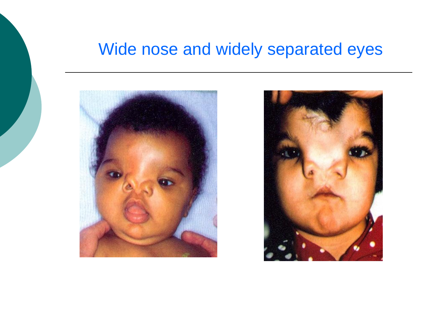## Wide nose and widely separated eyes



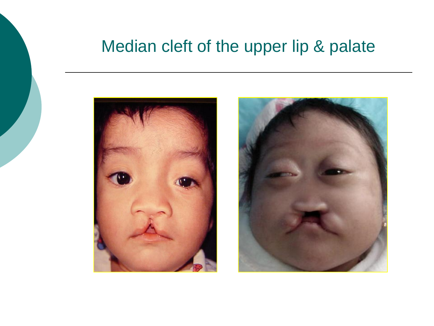## Median cleft of the upper lip & palate



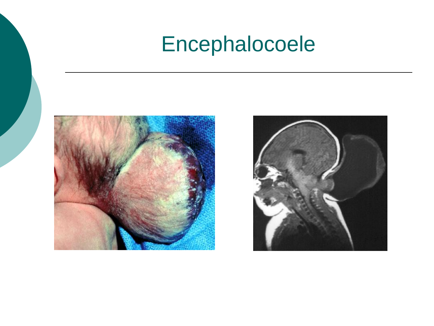# Encephalocoele



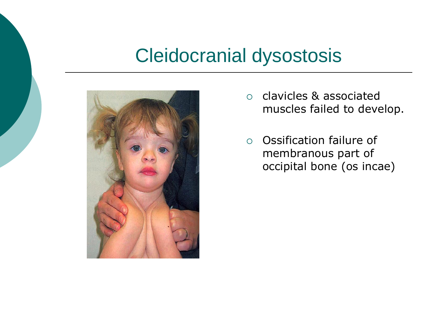# Cleidocranial dysostosis



- clavicles & associated muscles failed to develop.
- Ossification failure of membranous part of occipital bone (os incae)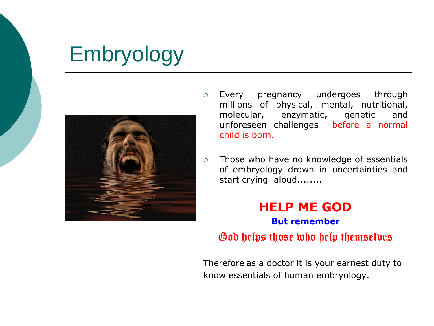

- Every pregnancy undergoes through millions of physical, mental, nutritional, molecular, enzymatic, genetic and unforeseen challenges before a normal child is born.
- Those who have no knowledge of essentials of embryology drown in uncertainties and start crying aloud........

#### **HELP ME GOD But remember**

God helps those who help themselves

Therefore as a doctor it is your earnest duty to know essentials of human embryology.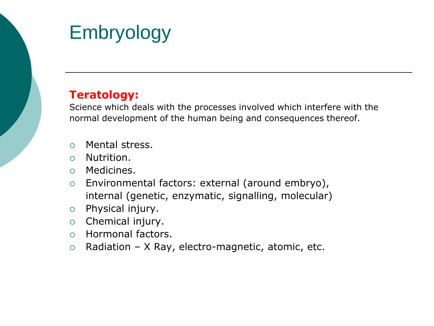#### **Teratology:**

Science which deals with the processes involved which interfere with the normal development of the human being and consequences thereof.

- Mental stress.
- Nutrition.
- Medicines.
- Environmental factors: external (around embryo), internal (genetic, enzymatic, signalling, molecular)
- $\circ$  Physical injury.
- $\circ$  Chemical injury.
- Hormonal factors.
- $\circ$  Radiation X Ray, electro-magnetic, atomic, etc.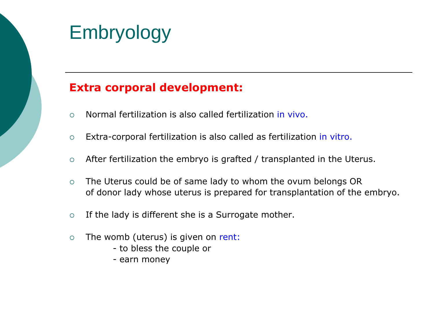

#### **Extra corporal development:**

- Normal fertilization is also called fertilization in vivo.
- Extra-corporal fertilization is also called as fertilization in vitro.
- $\circ$  After fertilization the embryo is grafted / transplanted in the Uterus.
- The Uterus could be of same lady to whom the ovum belongs OR of donor lady whose uterus is prepared for transplantation of the embryo.
- $\circ$  If the lady is different she is a Surrogate mother.
- $\circ$  The womb (uterus) is given on rent:
	- to bless the couple or
	- earn money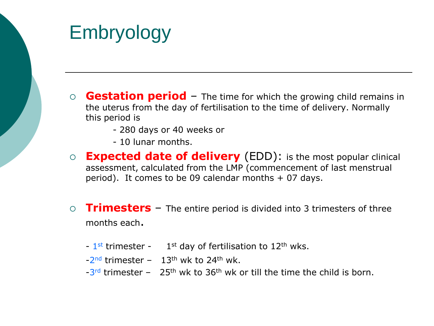- **Gestation period**  The time for which the growing child remains in the uterus from the day of fertilisation to the time of delivery. Normally this period is
	- 280 days or 40 weeks or
	- 10 lunar months.
- **Expected date of delivery** (EDD): is the most popular clinical assessment, calculated from the LMP (commencement of last menstrual period). It comes to be 09 calendar months  $+$  07 days.
- **Trimesters** The entire period is divided into 3 trimesters of three months each.
	- $-1$ <sup>st</sup> trimester  $-1$ <sup>st</sup> day of fertilisation to 12<sup>th</sup> wks.
	- $-2<sup>nd</sup>$  trimester  $-13<sup>th</sup>$  wk to 24<sup>th</sup> wk.
	- $-3$ <sup>rd</sup> trimester  $-25$ <sup>th</sup> wk to  $36$ <sup>th</sup> wk or till the time the child is born.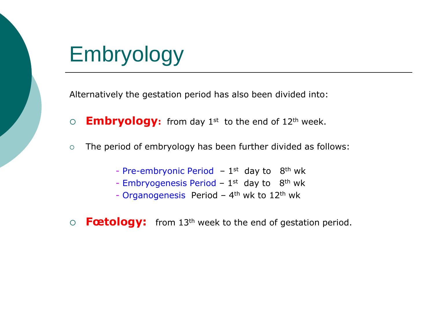Alternatively the gestation period has also been divided into:

- **Embryology:** from day 1st to the end of 12th week.
- The period of embryology has been further divided as follows:
	- Pre-embryonic Period  $-1$ <sup>st</sup> day to  $8$ <sup>th</sup> wk
	- Embryogenesis Period  $1<sup>st</sup>$  day to  $8<sup>th</sup>$  wk
	- Organogenesis Period 4<sup>th</sup> wk to 12<sup>th</sup> wk
- **Fœtology:** from 13th week to the end of gestation period.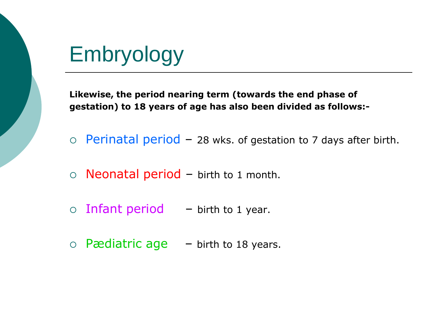**Likewise, the period nearing term (towards the end phase of gestation) to 18 years of age has also been divided as follows:-**

- $\circ$  Perinatal period 28 wks. of gestation to 7 days after birth.
- $\circ$  Neonatal period birth to 1 month.
- $\circ$  Infant period  $-$  birth to 1 year.
- $\circ$  Pædiatric age  $-$  birth to 18 years.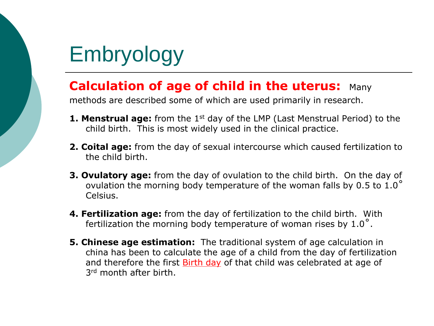### **Calculation of age of child in the uterus:** Many

methods are described some of which are used primarily in research.

- **1. Menstrual age:** from the 1<sup>st</sup> day of the LMP (Last Menstrual Period) to the child birth. This is most widely used in the clinical practice.
- **2. Coital age:** from the day of sexual intercourse which caused fertilization to the child birth.
- **3. Ovulatory age:** from the day of ovulation to the child birth. On the day of ovulation the morning body temperature of the woman falls by 0.5 to 1.0˚ Celsius.
- **4. Fertilization age:** from the day of fertilization to the child birth. With fertilization the morning body temperature of woman rises by 1.0˚.
- **5. Chinese age estimation:** The traditional system of age calculation in china has been to calculate the age of a child from the day of fertilization and therefore the first **Birth day** of that child was celebrated at age of 3rd month after birth.